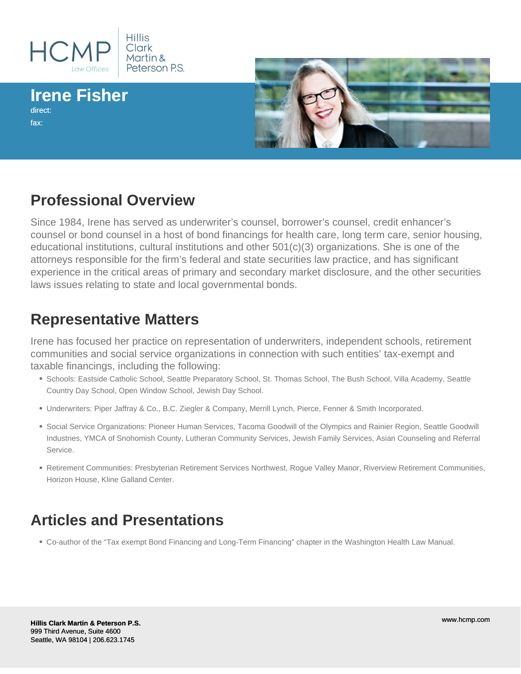

**Irene Fisher**

direct: fax:



### **Professional Overview**

Since 1984, Irene has served as underwriter's counsel, borrower's counsel, credit enhancer's counsel or bond counsel in a host of bond financings for health care, long term care, senior housing, educational institutions, cultural institutions and other 501(c)(3) organizations. She is one of the attorneys responsible for the firm's federal and state securities law practice, and has significant experience in the critical areas of primary and secondary market disclosure, and the other securities laws issues relating to state and local governmental bonds.

### **Representative Matters**

Irene has focused her practice on representation of underwriters, independent schools, retirement communities and social service organizations in connection with such entities' tax-exempt and taxable financings, including the following:

- Schools: Eastside Catholic School, Seattle Preparatory School, St. Thomas School, The Bush School, Villa Academy, Seattle Country Day School, Open Window School, Jewish Day School.
- Underwriters: Piper Jaffray & Co., B.C. Ziegler & Company, Merrill Lynch, Pierce, Fenner & Smith Incorporated.
- Social Service Organizations: Pioneer Human Services, Tacoma Goodwill of the Olympics and Rainier Region, Seattle Goodwill Industries, YMCA of Snohomish County, Lutheran Community Services, Jewish Family Services, Asian Counseling and Referral Service.
- Retirement Communities: Presbyterian Retirement Services Northwest, Rogue Valley Manor, Riverview Retirement Communities, Horizon House, Kline Galland Center.

# **Articles and Presentations**

Co-author of the "Tax exempt Bond Financing and Long-Term Financing" chapter in the Washington Health Law Manual.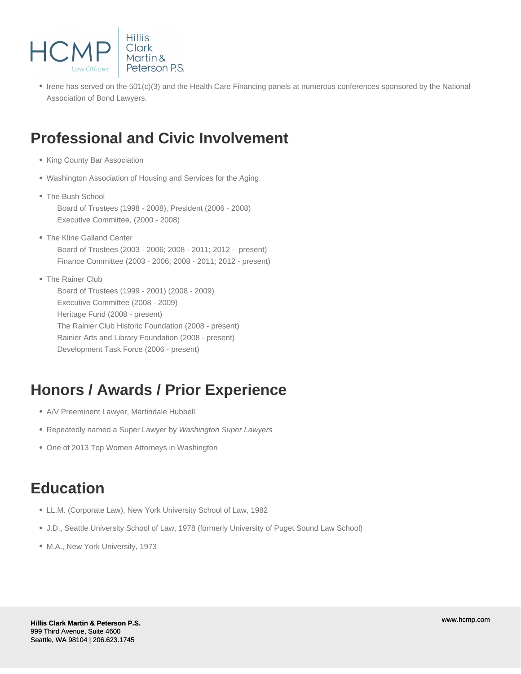

• Irene has served on the 501(c)(3) and the Health Care Financing panels at numerous conferences sponsored by the National Association of Bond Lawyers.

### **Professional and Civic Involvement**

- King County Bar Association
- Washington Association of Housing and Services for the Aging
- The Bush School Board of Trustees (1998 - 2008), President (2006 - 2008) Executive Committee, (2000 - 2008)
- The Kline Galland Center Board of Trustees (2003 - 2006; 2008 - 2011; 2012 - present) Finance Committee (2003 - 2006; 2008 - 2011; 2012 - present)
- The Rainer Club

 Board of Trustees (1999 - 2001) (2008 - 2009) Executive Committee (2008 - 2009) Heritage Fund (2008 - present) The Rainier Club Historic Foundation (2008 - present) Rainier Arts and Library Foundation (2008 - present) Development Task Force (2006 - present)

# **Honors / Awards / Prior Experience**

- A/V Preeminent Lawyer, Martindale Hubbell
- Repeatedly named a Super Lawyer by Washington Super Lawyers
- One of 2013 Top Women Attorneys in Washington

### **Education**

- LL.M. (Corporate Law), New York University School of Law, 1982
- J.D., Seattle University School of Law, 1978 (formerly University of Puget Sound Law School)
- M.A., New York University, 1973